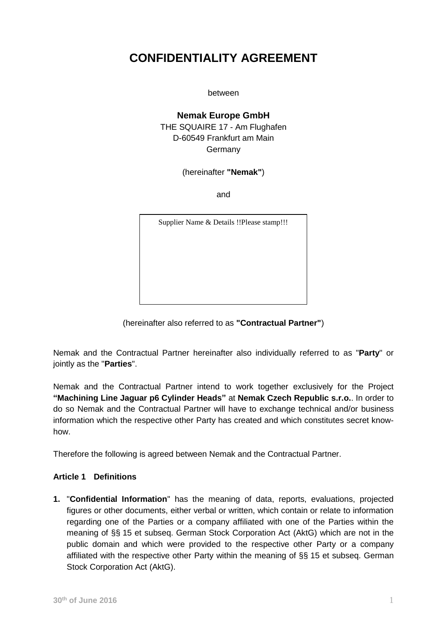# **CONFIDENTIALITY AGREEMENT**

between

# **Nemak Europe GmbH** THE SQUAIRE 17 - Am Flughafen D-60549 Frankfurt am Main Germany

(hereinafter **"Nemak"**)

and

Supplier Name & Details !!Please stamp!!!

(hereinafter also referred to as **"Contractual Partner"**)

Nemak and the Contractual Partner hereinafter also individually referred to as "**Party**" or jointly as the "**Parties**".

Nemak and the Contractual Partner intend to work together exclusively for the Project **"Machining Line Jaguar p6 Cylinder Heads"** at **Nemak Czech Republic s.r.o.**. In order to do so Nemak and the Contractual Partner will have to exchange technical and/or business information which the respective other Party has created and which constitutes secret knowhow.

Therefore the following is agreed between Nemak and the Contractual Partner.

#### **Article 1 Definitions**

**1.** "**Confidential Information**" has the meaning of data, reports, evaluations, projected figures or other documents, either verbal or written, which contain or relate to information regarding one of the Parties or a company affiliated with one of the Parties within the meaning of §§ 15 et subseq. German Stock Corporation Act (AktG) which are not in the public domain and which were provided to the respective other Party or a company affiliated with the respective other Party within the meaning of §§ 15 et subseq. German Stock Corporation Act (AktG).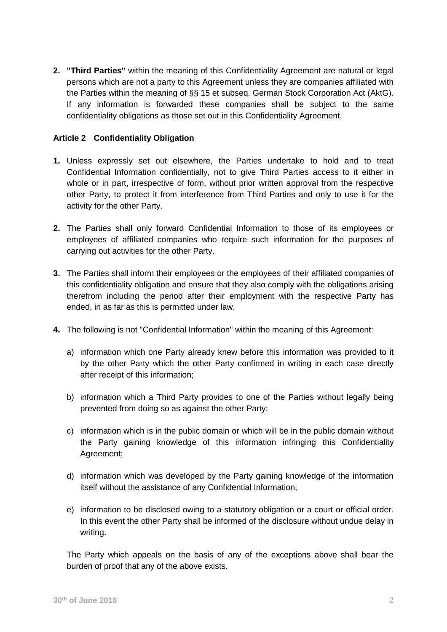**2. "Third Parties"** within the meaning of this Confidentiality Agreement are natural or legal persons which are not a party to this Agreement unless they are companies affiliated with the Parties within the meaning of §§ 15 et subseq. German Stock Corporation Act (AktG). If any information is forwarded these companies shall be subject to the same confidentiality obligations as those set out in this Confidentiality Agreement.

## **Article 2 Confidentiality Obligation**

- **1.** Unless expressly set out elsewhere, the Parties undertake to hold and to treat Confidential Information confidentially, not to give Third Parties access to it either in whole or in part, irrespective of form, without prior written approval from the respective other Party, to protect it from interference from Third Parties and only to use it for the activity for the other Party.
- **2.** The Parties shall only forward Confidential Information to those of its employees or employees of affiliated companies who require such information for the purposes of carrying out activities for the other Party.
- **3.** The Parties shall inform their employees or the employees of their affiliated companies of this confidentiality obligation and ensure that they also comply with the obligations arising therefrom including the period after their employment with the respective Party has ended, in as far as this is permitted under law.
- **4.** The following is not "Confidential Information" within the meaning of this Agreement:
	- a) information which one Party already knew before this information was provided to it by the other Party which the other Party confirmed in writing in each case directly after receipt of this information;
	- b) information which a Third Party provides to one of the Parties without legally being prevented from doing so as against the other Party;
	- c) information which is in the public domain or which will be in the public domain without the Party gaining knowledge of this information infringing this Confidentiality Agreement;
	- d) information which was developed by the Party gaining knowledge of the information itself without the assistance of any Confidential Information;
	- e) information to be disclosed owing to a statutory obligation or a court or official order. In this event the other Party shall be informed of the disclosure without undue delay in writing.

The Party which appeals on the basis of any of the exceptions above shall bear the burden of proof that any of the above exists.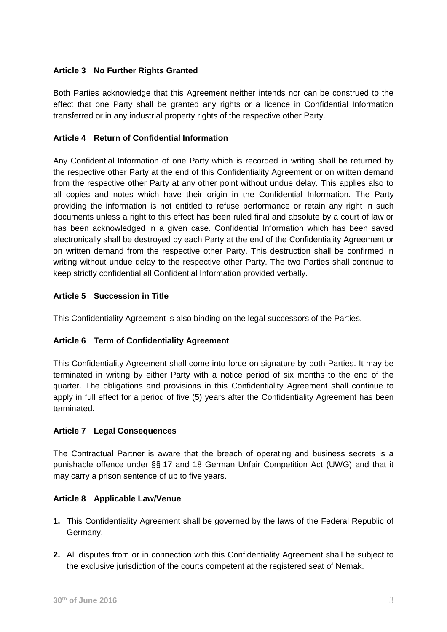# **Article 3 No Further Rights Granted**

Both Parties acknowledge that this Agreement neither intends nor can be construed to the effect that one Party shall be granted any rights or a licence in Confidential Information transferred or in any industrial property rights of the respective other Party.

# **Article 4 Return of Confidential Information**

Any Confidential Information of one Party which is recorded in writing shall be returned by the respective other Party at the end of this Confidentiality Agreement or on written demand from the respective other Party at any other point without undue delay. This applies also to all copies and notes which have their origin in the Confidential Information. The Party providing the information is not entitled to refuse performance or retain any right in such documents unless a right to this effect has been ruled final and absolute by a court of law or has been acknowledged in a given case. Confidential Information which has been saved electronically shall be destroyed by each Party at the end of the Confidentiality Agreement or on written demand from the respective other Party. This destruction shall be confirmed in writing without undue delay to the respective other Party. The two Parties shall continue to keep strictly confidential all Confidential Information provided verbally.

## **Article 5 Succession in Title**

This Confidentiality Agreement is also binding on the legal successors of the Parties.

#### **Article 6 Term of Confidentiality Agreement**

This Confidentiality Agreement shall come into force on signature by both Parties. It may be terminated in writing by either Party with a notice period of six months to the end of the quarter. The obligations and provisions in this Confidentiality Agreement shall continue to apply in full effect for a period of five (5) years after the Confidentiality Agreement has been terminated.

#### **Article 7 Legal Consequences**

The Contractual Partner is aware that the breach of operating and business secrets is a punishable offence under §§ 17 and 18 German Unfair Competition Act (UWG) and that it may carry a prison sentence of up to five years.

#### **Article 8 Applicable Law/Venue**

- **1.** This Confidentiality Agreement shall be governed by the laws of the Federal Republic of Germany.
- **2.** All disputes from or in connection with this Confidentiality Agreement shall be subject to the exclusive jurisdiction of the courts competent at the registered seat of Nemak.